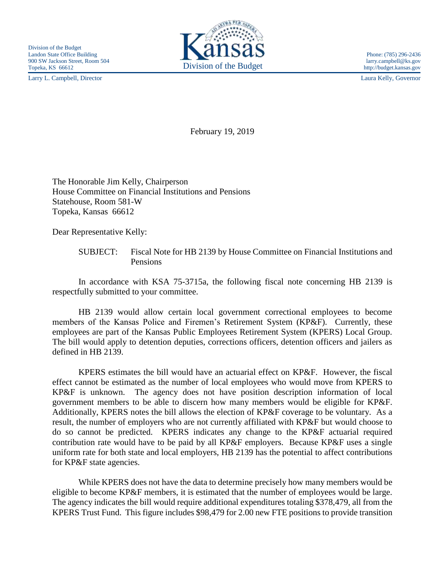Larry L. Campbell, Director Laura Kelly, Governor



http://budget.kansas.gov

February 19, 2019

The Honorable Jim Kelly, Chairperson House Committee on Financial Institutions and Pensions Statehouse, Room 581-W Topeka, Kansas 66612

Dear Representative Kelly:

SUBJECT: Fiscal Note for HB 2139 by House Committee on Financial Institutions and Pensions

In accordance with KSA 75-3715a, the following fiscal note concerning HB 2139 is respectfully submitted to your committee.

HB 2139 would allow certain local government correctional employees to become members of the Kansas Police and Firemen's Retirement System (KP&F). Currently, these employees are part of the Kansas Public Employees Retirement System (KPERS) Local Group. The bill would apply to detention deputies, corrections officers, detention officers and jailers as defined in HB 2139.

KPERS estimates the bill would have an actuarial effect on KP&F. However, the fiscal effect cannot be estimated as the number of local employees who would move from KPERS to KP&F is unknown. The agency does not have position description information of local government members to be able to discern how many members would be eligible for KP&F. Additionally, KPERS notes the bill allows the election of KP&F coverage to be voluntary. As a result, the number of employers who are not currently affiliated with KP&F but would choose to do so cannot be predicted. KPERS indicates any change to the KP&F actuarial required contribution rate would have to be paid by all KP&F employers. Because KP&F uses a single uniform rate for both state and local employers, HB 2139 has the potential to affect contributions for KP&F state agencies.

While KPERS does not have the data to determine precisely how many members would be eligible to become KP&F members, it is estimated that the number of employees would be large. The agency indicates the bill would require additional expenditures totaling \$378,479, all from the KPERS Trust Fund. This figure includes \$98,479 for 2.00 new FTE positions to provide transition